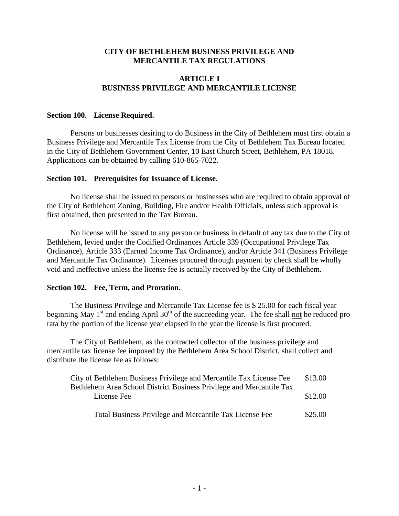# **CITY OF BETHLEHEM BUSINESS PRIVILEGE AND MERCANTILE TAX REGULATIONS**

# **ARTICLE I BUSINESS PRIVILEGE AND MERCANTILE LICENSE**

### **Section 100. License Required.**

Persons or businesses desiring to do Business in the City of Bethlehem must first obtain a Business Privilege and Mercantile Tax License from the City of Bethlehem Tax Bureau located in the City of Bethlehem Government Center, 10 East Church Street, Bethlehem, PA 18018. Applications can be obtained by calling 610-865-7022.

#### **Section 101. Prerequisites for Issuance of License.**

No license shall be issued to persons or businesses who are required to obtain approval of the City of Bethlehem Zoning, Building, Fire and/or Health Officials, unless such approval is first obtained, then presented to the Tax Bureau.

No license will be issued to any person or business in default of any tax due to the City of Bethlehem, levied under the Codified Ordinances Article 339 (Occupational Privilege Tax Ordinance), Article 333 (Earned Income Tax Ordinance), and/or Article 341 (Business Privilege and Mercantile Tax Ordinance). Licenses procured through payment by check shall be wholly void and ineffective unless the license fee is actually received by the City of Bethlehem.

### **Section 102. Fee, Term, and Proration.**

The Business Privilege and Mercantile Tax License fee is \$ 25.00 for each fiscal year beginning May  $1<sup>st</sup>$  and ending April 30<sup>th</sup> of the succeeding year. The fee shall not be reduced pro rata by the portion of the license year elapsed in the year the license is first procured.

The City of Bethlehem, as the contracted collector of the business privilege and mercantile tax license fee imposed by the Bethlehem Area School District, shall collect and distribute the license fee as follows:

| City of Bethlehem Business Privilege and Mercantile Tax License Fee  | \$13.00 |
|----------------------------------------------------------------------|---------|
| Bethlehem Area School District Business Privilege and Mercantile Tax |         |
| License Fee                                                          | \$12.00 |
|                                                                      |         |
| Total Business Privilege and Mercantile Tax License Fee              | \$25.00 |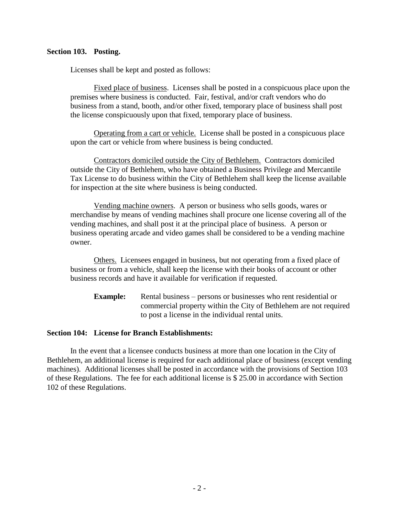### **Section 103. Posting.**

Licenses shall be kept and posted as follows:

Fixed place of business. Licenses shall be posted in a conspicuous place upon the premises where business is conducted. Fair, festival, and/or craft vendors who do business from a stand, booth, and/or other fixed, temporary place of business shall post the license conspicuously upon that fixed, temporary place of business.

Operating from a cart or vehicle. License shall be posted in a conspicuous place upon the cart or vehicle from where business is being conducted.

Contractors domiciled outside the City of Bethlehem. Contractors domiciled outside the City of Bethlehem, who have obtained a Business Privilege and Mercantile Tax License to do business within the City of Bethlehem shall keep the license available for inspection at the site where business is being conducted.

Vending machine owners. A person or business who sells goods, wares or merchandise by means of vending machines shall procure one license covering all of the vending machines, and shall post it at the principal place of business. A person or business operating arcade and video games shall be considered to be a vending machine owner.

Others. Licensees engaged in business, but not operating from a fixed place of business or from a vehicle, shall keep the license with their books of account or other business records and have it available for verification if requested.

**Example:** Rental business – persons or businesses who rent residential or commercial property within the City of Bethlehem are not required to post a license in the individual rental units.

#### **Section 104: License for Branch Establishments:**

In the event that a licensee conducts business at more than one location in the City of Bethlehem, an additional license is required for each additional place of business (except vending machines). Additional licenses shall be posted in accordance with the provisions of Section 103 of these Regulations. The fee for each additional license is \$ 25.00 in accordance with Section 102 of these Regulations.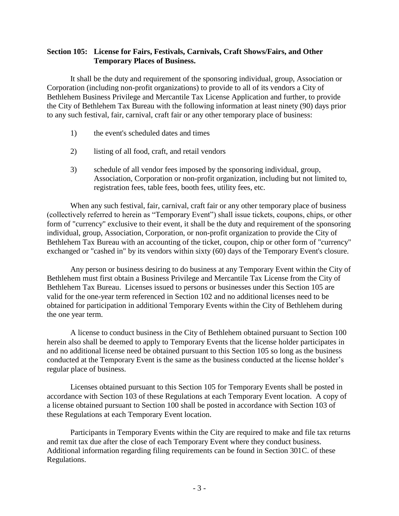# **Section 105: License for Fairs, Festivals, Carnivals, Craft Shows/Fairs, and Other Temporary Places of Business.**

It shall be the duty and requirement of the sponsoring individual, group, Association or Corporation (including non-profit organizations) to provide to all of its vendors a City of Bethlehem Business Privilege and Mercantile Tax License Application and further, to provide the City of Bethlehem Tax Bureau with the following information at least ninety (90) days prior to any such festival, fair, carnival, craft fair or any other temporary place of business:

- 1) the event's scheduled dates and times
- 2) listing of all food, craft, and retail vendors
- 3) schedule of all vendor fees imposed by the sponsoring individual, group, Association, Corporation or non-profit organization, including but not limited to, registration fees, table fees, booth fees, utility fees, etc.

When any such festival, fair, carnival, craft fair or any other temporary place of business (collectively referred to herein as "Temporary Event") shall issue tickets, coupons, chips, or other form of "currency" exclusive to their event, it shall be the duty and requirement of the sponsoring individual, group, Association, Corporation, or non-profit organization to provide the City of Bethlehem Tax Bureau with an accounting of the ticket, coupon, chip or other form of "currency" exchanged or "cashed in" by its vendors within sixty (60) days of the Temporary Event's closure.

Any person or business desiring to do business at any Temporary Event within the City of Bethlehem must first obtain a Business Privilege and Mercantile Tax License from the City of Bethlehem Tax Bureau. Licenses issued to persons or businesses under this Section 105 are valid for the one-year term referenced in Section 102 and no additional licenses need to be obtained for participation in additional Temporary Events within the City of Bethlehem during the one year term.

A license to conduct business in the City of Bethlehem obtained pursuant to Section 100 herein also shall be deemed to apply to Temporary Events that the license holder participates in and no additional license need be obtained pursuant to this Section 105 so long as the business conducted at the Temporary Event is the same as the business conducted at the license holder's regular place of business.

Licenses obtained pursuant to this Section 105 for Temporary Events shall be posted in accordance with Section 103 of these Regulations at each Temporary Event location. A copy of a license obtained pursuant to Section 100 shall be posted in accordance with Section 103 of these Regulations at each Temporary Event location.

Participants in Temporary Events within the City are required to make and file tax returns and remit tax due after the close of each Temporary Event where they conduct business. Additional information regarding filing requirements can be found in Section 301C. of these Regulations.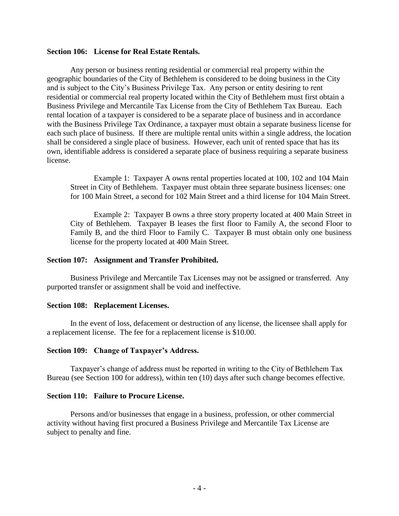#### **Section 106: License for Real Estate Rentals.**

Any person or business renting residential or commercial real property within the geographic boundaries of the City of Bethlehem is considered to be doing business in the City and is subject to the City's Business Privilege Tax. Any person or entity desiring to rent residential or commercial real property located within the City of Bethlehem must first obtain a Business Privilege and Mercantile Tax License from the City of Bethlehem Tax Bureau. Each rental location of a taxpayer is considered to be a separate place of business and in accordance with the Business Privilege Tax Ordinance, a taxpayer must obtain a separate business license for each such place of business. If there are multiple rental units within a single address, the location shall be considered a single place of business. However, each unit of rented space that has its own, identifiable address is considered a separate place of business requiring a separate business license.

Example 1: Taxpayer A owns rental properties located at 100, 102 and 104 Main Street in City of Bethlehem. Taxpayer must obtain three separate business licenses: one for 100 Main Street, a second for 102 Main Street and a third license for 104 Main Street.

Example 2: Taxpayer B owns a three story property located at 400 Main Street in City of Bethlehem. Taxpayer B leases the first floor to Family A, the second Floor to Family B, and the third Floor to Family C. Taxpayer B must obtain only one business license for the property located at 400 Main Street.

#### **Section 107: Assignment and Transfer Prohibited.**

Business Privilege and Mercantile Tax Licenses may not be assigned or transferred. Any purported transfer or assignment shall be void and ineffective.

#### **Section 108: Replacement Licenses.**

In the event of loss, defacement or destruction of any license, the licensee shall apply for a replacement license. The fee for a replacement license is \$10.00.

#### **Section 109: Change of Taxpayer's Address.**

Taxpayer's change of address must be reported in writing to the City of Bethlehem Tax Bureau (see Section 100 for address), within ten (10) days after such change becomes effective.

#### **Section 110: Failure to Procure License.**

Persons and/or businesses that engage in a business, profession, or other commercial activity without having first procured a Business Privilege and Mercantile Tax License are subject to penalty and fine.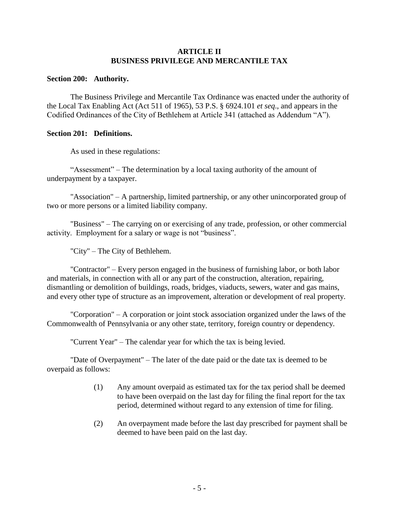# **ARTICLE II BUSINESS PRIVILEGE AND MERCANTILE TAX**

### **Section 200: Authority.**

The Business Privilege and Mercantile Tax Ordinance was enacted under the authority of the Local Tax Enabling Act (Act 511 of 1965), 53 P.S. § 6924.101 *et seq*., and appears in the Codified Ordinances of the City of Bethlehem at Article 341 (attached as Addendum "A").

## **Section 201: Definitions.**

As used in these regulations:

"Assessment" – The determination by a local taxing authority of the amount of underpayment by a taxpayer.

"Association" – A partnership, limited partnership, or any other unincorporated group of two or more persons or a limited liability company.

"Business" – The carrying on or exercising of any trade, profession, or other commercial activity. Employment for a salary or wage is not "business".

"City" – The City of Bethlehem.

"Contractor" – Every person engaged in the business of furnishing labor, or both labor and materials, in connection with all or any part of the construction, alteration, repairing, dismantling or demolition of buildings, roads, bridges, viaducts, sewers, water and gas mains, and every other type of structure as an improvement, alteration or development of real property.

"Corporation" – A corporation or joint stock association organized under the laws of the Commonwealth of Pennsylvania or any other state, territory, foreign country or dependency.

"Current Year" – The calendar year for which the tax is being levied.

"Date of Overpayment" – The later of the date paid or the date tax is deemed to be overpaid as follows:

- (1) Any amount overpaid as estimated tax for the tax period shall be deemed to have been overpaid on the last day for filing the final report for the tax period, determined without regard to any extension of time for filing.
- (2) An overpayment made before the last day prescribed for payment shall be deemed to have been paid on the last day.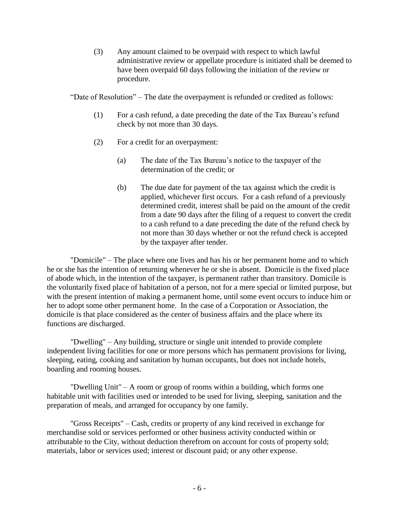(3) Any amount claimed to be overpaid with respect to which lawful administrative review or appellate procedure is initiated shall be deemed to have been overpaid 60 days following the initiation of the review or procedure.

"Date of Resolution" – The date the overpayment is refunded or credited as follows:

- (1) For a cash refund, a date preceding the date of the Tax Bureau's refund check by not more than 30 days.
- (2) For a credit for an overpayment:
	- (a) The date of the Tax Bureau's notice to the taxpayer of the determination of the credit; or
	- (b) The due date for payment of the tax against which the credit is applied, whichever first occurs. For a cash refund of a previously determined credit, interest shall be paid on the amount of the credit from a date 90 days after the filing of a request to convert the credit to a cash refund to a date preceding the date of the refund check by not more than 30 days whether or not the refund check is accepted by the taxpayer after tender.

"Domicile" – The place where one lives and has his or her permanent home and to which he or she has the intention of returning whenever he or she is absent. Domicile is the fixed place of abode which, in the intention of the taxpayer, is permanent rather than transitory. Domicile is the voluntarily fixed place of habitation of a person, not for a mere special or limited purpose, but with the present intention of making a permanent home, until some event occurs to induce him or her to adopt some other permanent home. In the case of a Corporation or Association, the domicile is that place considered as the center of business affairs and the place where its functions are discharged.

"Dwelling" – Any building, structure or single unit intended to provide complete independent living facilities for one or more persons which has permanent provisions for living, sleeping, eating, cooking and sanitation by human occupants, but does not include hotels, boarding and rooming houses.

"Dwelling Unit" – A room or group of rooms within a building, which forms one habitable unit with facilities used or intended to be used for living, sleeping, sanitation and the preparation of meals, and arranged for occupancy by one family.

"Gross Receipts" – Cash, credits or property of any kind received in exchange for merchandise sold or services performed or other business activity conducted within or attributable to the City, without deduction therefrom on account for costs of property sold; materials, labor or services used; interest or discount paid; or any other expense.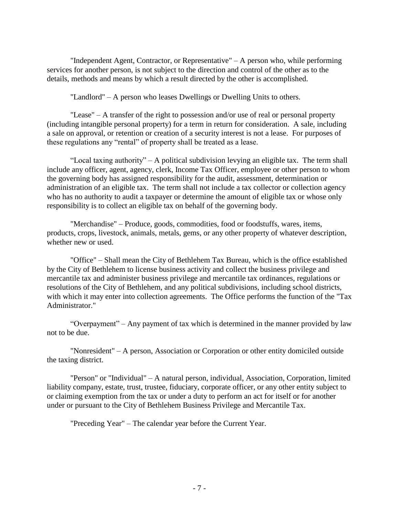"Independent Agent, Contractor, or Representative" – A person who, while performing services for another person, is not subject to the direction and control of the other as to the details, methods and means by which a result directed by the other is accomplished.

"Landlord" – A person who leases Dwellings or Dwelling Units to others.

"Lease" – A transfer of the right to possession and/or use of real or personal property (including intangible personal property) for a term in return for consideration. A sale, including a sale on approval, or retention or creation of a security interest is not a lease. For purposes of these regulations any "rental" of property shall be treated as a lease.

"Local taxing authority" – A political subdivision levying an eligible tax. The term shall include any officer, agent, agency, clerk, Income Tax Officer, employee or other person to whom the governing body has assigned responsibility for the audit, assessment, determination or administration of an eligible tax. The term shall not include a tax collector or collection agency who has no authority to audit a taxpayer or determine the amount of eligible tax or whose only responsibility is to collect an eligible tax on behalf of the governing body.

"Merchandise" – Produce, goods, commodities, food or foodstuffs, wares, items, products, crops, livestock, animals, metals, gems, or any other property of whatever description, whether new or used.

"Office" – Shall mean the City of Bethlehem Tax Bureau, which is the office established by the City of Bethlehem to license business activity and collect the business privilege and mercantile tax and administer business privilege and mercantile tax ordinances, regulations or resolutions of the City of Bethlehem, and any political subdivisions, including school districts, with which it may enter into collection agreements. The Office performs the function of the "Tax Administrator."

"Overpayment" – Any payment of tax which is determined in the manner provided by law not to be due.

"Nonresident" – A person, Association or Corporation or other entity domiciled outside the taxing district.

"Person" or "Individual" – A natural person, individual, Association, Corporation, limited liability company, estate, trust, trustee, fiduciary, corporate officer, or any other entity subject to or claiming exemption from the tax or under a duty to perform an act for itself or for another under or pursuant to the City of Bethlehem Business Privilege and Mercantile Tax.

"Preceding Year" – The calendar year before the Current Year.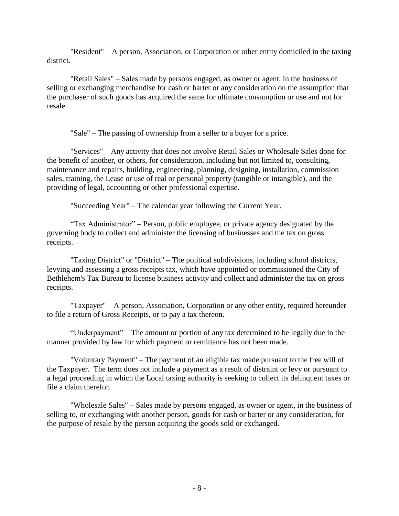"Resident" – A person, Association, or Corporation or other entity domiciled in the taxing district.

"Retail Sales" – Sales made by persons engaged, as owner or agent, in the business of selling or exchanging merchandise for cash or barter or any consideration on the assumption that the purchaser of such goods has acquired the same for ultimate consumption or use and not for resale.

"Sale" – The passing of ownership from a seller to a buyer for a price.

"Services" – Any activity that does not involve Retail Sales or Wholesale Sales done for the benefit of another, or others, for consideration, including but not limited to, consulting, maintenance and repairs, building, engineering, planning, designing, installation, commission sales, training, the Lease or use of real or personal property (tangible or intangible), and the providing of legal, accounting or other professional expertise.

"Succeeding Year" – The calendar year following the Current Year.

"Tax Administrator" – Person, public employee, or private agency designated by the governing body to collect and administer the licensing of businesses and the tax on gross receipts.

"Taxing District" or "District" – The political subdivisions, including school districts, levying and assessing a gross receipts tax, which have appointed or commissioned the City of Bethlehem's Tax Bureau to license business activity and collect and administer the tax on gross receipts.

"Taxpayer" – A person, Association, Corporation or any other entity, required hereunder to file a return of Gross Receipts, or to pay a tax thereon.

"Underpayment" – The amount or portion of any tax determined to be legally due in the manner provided by law for which payment or remittance has not been made.

"Voluntary Payment" – The payment of an eligible tax made pursuant to the free will of the Taxpayer. The term does not include a payment as a result of distraint or levy or pursuant to a legal proceeding in which the Local taxing authority is seeking to collect its delinquent taxes or file a claim therefor.

"Wholesale Sales" – Sales made by persons engaged, as owner or agent, in the business of selling to, or exchanging with another person, goods for cash or barter or any consideration, for the purpose of resale by the person acquiring the goods sold or exchanged.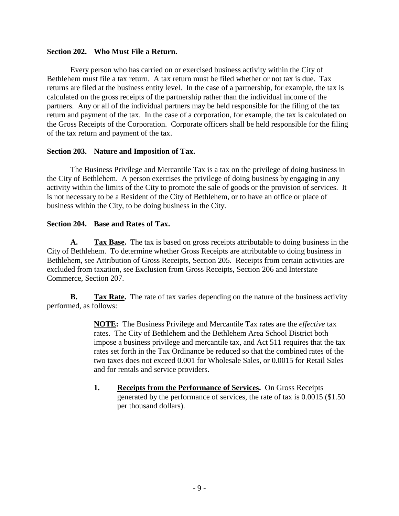### **Section 202. Who Must File a Return.**

Every person who has carried on or exercised business activity within the City of Bethlehem must file a tax return. A tax return must be filed whether or not tax is due. Tax returns are filed at the business entity level. In the case of a partnership, for example, the tax is calculated on the gross receipts of the partnership rather than the individual income of the partners. Any or all of the individual partners may be held responsible for the filing of the tax return and payment of the tax. In the case of a corporation, for example, the tax is calculated on the Gross Receipts of the Corporation. Corporate officers shall be held responsible for the filing of the tax return and payment of the tax.

## **Section 203. Nature and Imposition of Tax.**

The Business Privilege and Mercantile Tax is a tax on the privilege of doing business in the City of Bethlehem. A person exercises the privilege of doing business by engaging in any activity within the limits of the City to promote the sale of goods or the provision of services. It is not necessary to be a Resident of the City of Bethlehem, or to have an office or place of business within the City, to be doing business in the City.

# **Section 204. Base and Rates of Tax.**

**A. Tax Base.** The tax is based on gross receipts attributable to doing business in the City of Bethlehem. To determine whether Gross Receipts are attributable to doing business in Bethlehem, see Attribution of Gross Receipts, Section 205. Receipts from certain activities are excluded from taxation, see Exclusion from Gross Receipts, Section 206 and Interstate Commerce, Section 207.

**B. Tax Rate.** The rate of tax varies depending on the nature of the business activity performed, as follows:

> **NOTE:** The Business Privilege and Mercantile Tax rates are the *effective* tax rates. The City of Bethlehem and the Bethlehem Area School District both impose a business privilege and mercantile tax, and Act 511 requires that the tax rates set forth in the Tax Ordinance be reduced so that the combined rates of the two taxes does not exceed 0.001 for Wholesale Sales, or 0.0015 for Retail Sales and for rentals and service providers.

> **1. Receipts from the Performance of Services.** On Gross Receipts generated by the performance of services, the rate of tax is 0.0015 (\$1.50 per thousand dollars).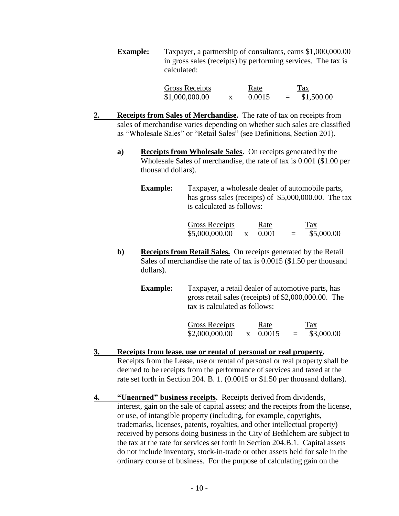**Example:** Taxpayer, a partnership of consultants, earns \$1,000,000.00 in gross sales (receipts) by performing services. The tax is calculated:

| <b>Gross Receipts</b> | Rate   |     | <b>Tax</b> |
|-----------------------|--------|-----|------------|
| \$1,000,000.00        | 0.0015 | $=$ | \$1,500.00 |

- **2. Receipts from Sales of Merchandise.** The rate of tax on receipts from sales of merchandise varies depending on whether such sales are classified as "Wholesale Sales" or "Retail Sales" (see Definitions, Section 201).
	- **a) Receipts from Wholesale Sales.** On receipts generated by the Wholesale Sales of merchandise, the rate of tax is 0.001 (\$1.00 per thousand dollars).
		- **Example:** Taxpayer, a wholesale dealer of automobile parts, has gross sales (receipts) of \$5,000,000.00. The tax is calculated as follows:

Gross Receipts Rate Tax  $$5,000,000.00 \quad x \quad 0.001 = $5,000.00$ 

**b) Receipts from Retail Sales.** On receipts generated by the Retail Sales of merchandise the rate of tax is 0.0015 (\$1.50 per thousand dollars).

> **Example:** Taxpayer, a retail dealer of automotive parts, has gross retail sales (receipts) of \$2,000,000.00. The tax is calculated as follows:

> > Gross Receipts Rate Tax  $$2,000,000.00$  x  $0.0015$  = \$3,000.00

- **3. Receipts from lease, use or rental of personal or real property.** Receipts from the Lease, use or rental of personal or real property shall be deemed to be receipts from the performance of services and taxed at the rate set forth in Section 204. B. 1. (0.0015 or \$1.50 per thousand dollars).
- **4. "Unearned" business receipts.** Receipts derived from dividends, interest, gain on the sale of capital assets; and the receipts from the license, or use, of intangible property (including, for example, copyrights, trademarks, licenses, patents, royalties, and other intellectual property) received by persons doing business in the City of Bethlehem are subject to the tax at the rate for services set forth in Section 204.B.1. Capital assets do not include inventory, stock-in-trade or other assets held for sale in the ordinary course of business. For the purpose of calculating gain on the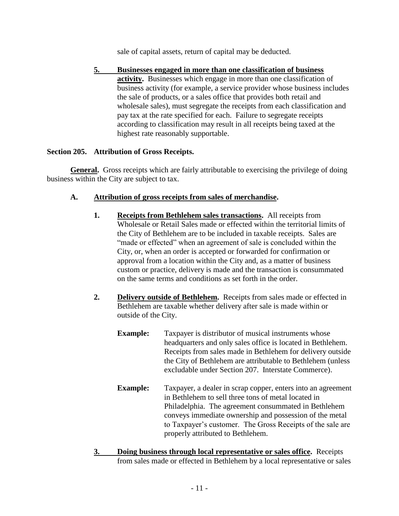sale of capital assets, return of capital may be deducted.

**5. Businesses engaged in more than one classification of business activity.** Businesses which engage in more than one classification of business activity (for example, a service provider whose business includes the sale of products, or a sales office that provides both retail and wholesale sales), must segregate the receipts from each classification and pay tax at the rate specified for each. Failure to segregate receipts according to classification may result in all receipts being taxed at the highest rate reasonably supportable.

## **Section 205. Attribution of Gross Receipts.**

**General.** Gross receipts which are fairly attributable to exercising the privilege of doing business within the City are subject to tax.

# **A. Attribution of gross receipts from sales of merchandise.**

- **1. Receipts from Bethlehem sales transactions.** All receipts from Wholesale or Retail Sales made or effected within the territorial limits of the City of Bethlehem are to be included in taxable receipts. Sales are "made or effected" when an agreement of sale is concluded within the City, or, when an order is accepted or forwarded for confirmation or approval from a location within the City and, as a matter of business custom or practice, delivery is made and the transaction is consummated on the same terms and conditions as set forth in the order.
- **2. Delivery outside of Bethlehem.** Receipts from sales made or effected in Bethlehem are taxable whether delivery after sale is made within or outside of the City.
	- **Example:** Taxpayer is distributor of musical instruments whose headquarters and only sales office is located in Bethlehem. Receipts from sales made in Bethlehem for delivery outside the City of Bethlehem are attributable to Bethlehem (unless excludable under Section 207. Interstate Commerce).
	- **Example:** Taxpayer, a dealer in scrap copper, enters into an agreement in Bethlehem to sell three tons of metal located in Philadelphia. The agreement consummated in Bethlehem conveys immediate ownership and possession of the metal to Taxpayer's customer. The Gross Receipts of the sale are properly attributed to Bethlehem.
- **3. Doing business through local representative or sales office.** Receipts from sales made or effected in Bethlehem by a local representative or sales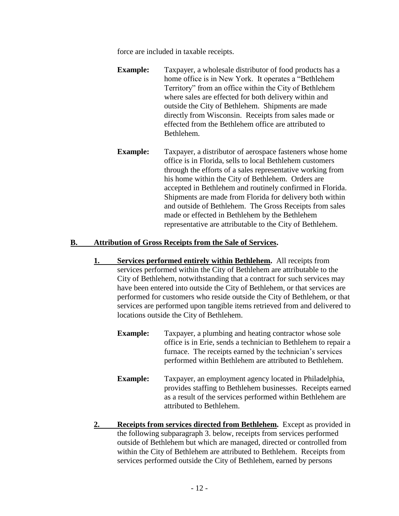force are included in taxable receipts.

- **Example:** Taxpayer, a wholesale distributor of food products has a home office is in New York. It operates a "Bethlehem Territory" from an office within the City of Bethlehem where sales are effected for both delivery within and outside the City of Bethlehem. Shipments are made directly from Wisconsin. Receipts from sales made or effected from the Bethlehem office are attributed to Bethlehem.
- **Example:** Taxpayer, a distributor of aerospace fasteners whose home office is in Florida, sells to local Bethlehem customers through the efforts of a sales representative working from his home within the City of Bethlehem. Orders are accepted in Bethlehem and routinely confirmed in Florida. Shipments are made from Florida for delivery both within and outside of Bethlehem. The Gross Receipts from sales made or effected in Bethlehem by the Bethlehem representative are attributable to the City of Bethlehem.

## **B. Attribution of Gross Receipts from the Sale of Services.**

- **1. Services performed entirely within Bethlehem.** All receipts from services performed within the City of Bethlehem are attributable to the City of Bethlehem, notwithstanding that a contract for such services may have been entered into outside the City of Bethlehem, or that services are performed for customers who reside outside the City of Bethlehem, or that services are performed upon tangible items retrieved from and delivered to locations outside the City of Bethlehem.
	- **Example:** Taxpayer, a plumbing and heating contractor whose sole office is in Erie, sends a technician to Bethlehem to repair a furnace. The receipts earned by the technician's services performed within Bethlehem are attributed to Bethlehem.
	- **Example:** Taxpayer, an employment agency located in Philadelphia, provides staffing to Bethlehem businesses. Receipts earned as a result of the services performed within Bethlehem are attributed to Bethlehem.
- **2. Receipts from services directed from Bethlehem.** Except as provided in the following subparagraph 3. below, receipts from services performed outside of Bethlehem but which are managed, directed or controlled from within the City of Bethlehem are attributed to Bethlehem. Receipts from services performed outside the City of Bethlehem, earned by persons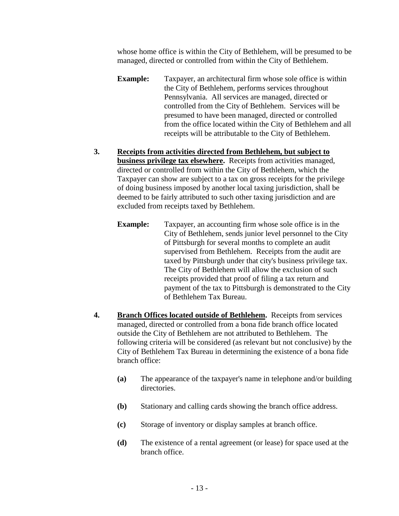whose home office is within the City of Bethlehem, will be presumed to be managed, directed or controlled from within the City of Bethlehem.

- **Example:** Taxpayer, an architectural firm whose sole office is within the City of Bethlehem, performs services throughout Pennsylvania. All services are managed, directed or controlled from the City of Bethlehem. Services will be presumed to have been managed, directed or controlled from the office located within the City of Bethlehem and all receipts will be attributable to the City of Bethlehem.
- **3. Receipts from activities directed from Bethlehem, but subject to business privilege tax elsewhere.** Receipts from activities managed, directed or controlled from within the City of Bethlehem, which the Taxpayer can show are subject to a tax on gross receipts for the privilege of doing business imposed by another local taxing jurisdiction, shall be deemed to be fairly attributed to such other taxing jurisdiction and are excluded from receipts taxed by Bethlehem.
	- **Example:** Taxpayer, an accounting firm whose sole office is in the City of Bethlehem, sends junior level personnel to the City of Pittsburgh for several months to complete an audit supervised from Bethlehem. Receipts from the audit are taxed by Pittsburgh under that city's business privilege tax. The City of Bethlehem will allow the exclusion of such receipts provided that proof of filing a tax return and payment of the tax to Pittsburgh is demonstrated to the City of Bethlehem Tax Bureau.
- **4. Branch Offices located outside of Bethlehem.** Receipts from services managed, directed or controlled from a bona fide branch office located outside the City of Bethlehem are not attributed to Bethlehem. The following criteria will be considered (as relevant but not conclusive) by the City of Bethlehem Tax Bureau in determining the existence of a bona fide branch office:
	- **(a)** The appearance of the taxpayer's name in telephone and/or building directories.
	- **(b)** Stationary and calling cards showing the branch office address.
	- **(c)** Storage of inventory or display samples at branch office.
	- **(d)** The existence of a rental agreement (or lease) for space used at the branch office.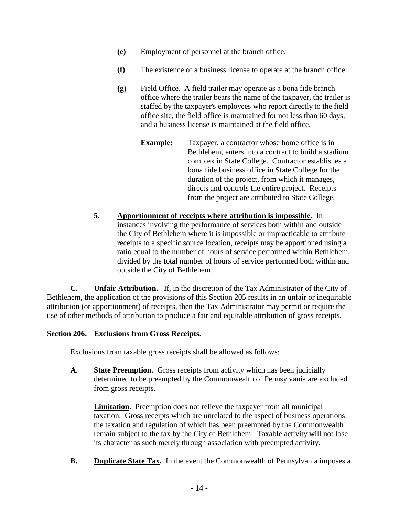- **(e)** Employment of personnel at the branch office.
- **(f)** The existence of a business license to operate at the branch office.
- **(g)** Field Office. A field trailer may operate as a bona fide branch office where the trailer bears the name of the taxpayer, the trailer is staffed by the taxpayer's employees who report directly to the field office site, the field office is maintained for not less than 60 days, and a business license is maintained at the field office.
	- **Example:** Taxpayer, a contractor whose home office is in Bethlehem, enters into a contract to build a stadium complex in State College. Contractor establishes a bona fide business office in State College for the duration of the project, from which it manages, directs and controls the entire project. Receipts from the project are attributed to State College.
- **5. Apportionment of receipts where attribution is impossible.** In instances involving the performance of services both within and outside the City of Bethlehem where it is impossible or impracticable to attribute receipts to a specific source location, receipts may be apportioned using a ratio equal to the number of hours of service performed within Bethlehem, divided by the total number of hours of service performed both within and outside the City of Bethlehem.

**C. Unfair Attribution.** If, in the discretion of the Tax Administrator of the City of Bethlehem, the application of the provisions of this Section 205 results in an unfair or inequitable attribution (or apportionment) of receipts, then the Tax Administrator may permit or require the use of other methods of attribution to produce a fair and equitable attribution of gross receipts.

# **Section 206. Exclusions from Gross Receipts.**

Exclusions from taxable gross receipts shall be allowed as follows:

**A. State Preemption.** Gross receipts from activity which has been judicially determined to be preempted by the Commonwealth of Pennsylvania are excluded from gross receipts.

**Limitation.** Preemption does not relieve the taxpayer from all municipal taxation. Gross receipts which are unrelated to the aspect of business operations the taxation and regulation of which has been preempted by the Commonwealth remain subject to the tax by the City of Bethlehem. Taxable activity will not lose its character as such merely through association with preempted activity.

**B. Duplicate State Tax.** In the event the Commonwealth of Pennsylvania imposes a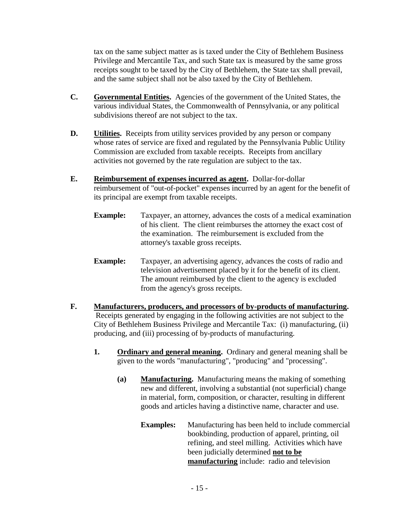tax on the same subject matter as is taxed under the City of Bethlehem Business Privilege and Mercantile Tax, and such State tax is measured by the same gross receipts sought to be taxed by the City of Bethlehem, the State tax shall prevail, and the same subject shall not be also taxed by the City of Bethlehem.

- **C. Governmental Entities.** Agencies of the government of the United States, the various individual States, the Commonwealth of Pennsylvania, or any political subdivisions thereof are not subject to the tax.
- **D. Utilities.** Receipts from utility services provided by any person or company whose rates of service are fixed and regulated by the Pennsylvania Public Utility Commission are excluded from taxable receipts. Receipts from ancillary activities not governed by the rate regulation are subject to the tax.
- **E. Reimbursement of expenses incurred as agent.** Dollar-for-dollar reimbursement of "out-of-pocket" expenses incurred by an agent for the benefit of its principal are exempt from taxable receipts.
	- **Example:** Taxpayer, an attorney, advances the costs of a medical examination of his client. The client reimburses the attorney the exact cost of the examination. The reimbursement is excluded from the attorney's taxable gross receipts.
	- **Example:** Taxpayer, an advertising agency, advances the costs of radio and television advertisement placed by it for the benefit of its client. The amount reimbursed by the client to the agency is excluded from the agency's gross receipts.
- **F. Manufacturers, producers, and processors of by-products of manufacturing.** Receipts generated by engaging in the following activities are not subject to the City of Bethlehem Business Privilege and Mercantile Tax: (i) manufacturing, (ii) producing, and (iii) processing of by-products of manufacturing.
	- **1. Ordinary and general meaning.** Ordinary and general meaning shall be given to the words "manufacturing", "producing" and "processing".
		- **(a) Manufacturing.** Manufacturing means the making of something new and different, involving a substantial (not superficial) change in material, form, composition, or character, resulting in different goods and articles having a distinctive name, character and use.
			- **Examples:** Manufacturing has been held to include commercial bookbinding, production of apparel, printing, oil refining, and steel milling. Activities which have been judicially determined **not to be manufacturing** include: radio and television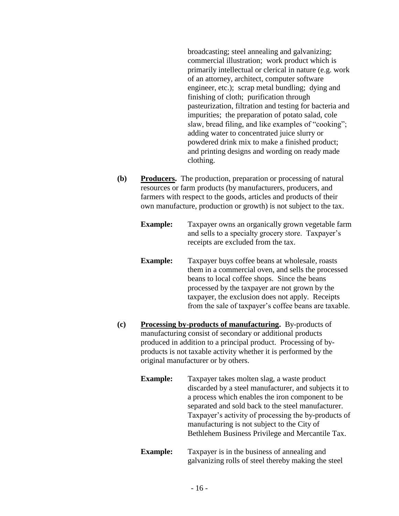broadcasting; steel annealing and galvanizing; commercial illustration; work product which is primarily intellectual or clerical in nature (e.g. work of an attorney, architect, computer software engineer, etc.); scrap metal bundling; dying and finishing of cloth; purification through pasteurization, filtration and testing for bacteria and impurities; the preparation of potato salad, cole slaw, bread filing, and like examples of "cooking"; adding water to concentrated juice slurry or powdered drink mix to make a finished product; and printing designs and wording on ready made clothing.

**(b) Producers.** The production, preparation or processing of natural resources or farm products (by manufacturers, producers, and farmers with respect to the goods, articles and products of their own manufacture, production or growth) is not subject to the tax.

> **Example:** Taxpayer owns an organically grown vegetable farm and sells to a specialty grocery store. Taxpayer's receipts are excluded from the tax.

- **Example:** Taxpayer buys coffee beans at wholesale, roasts them in a commercial oven, and sells the processed beans to local coffee shops. Since the beans processed by the taxpayer are not grown by the taxpayer, the exclusion does not apply. Receipts from the sale of taxpayer's coffee beans are taxable.
- **(c) Processing by-products of manufacturing.** By-products of manufacturing consist of secondary or additional products produced in addition to a principal product. Processing of byproducts is not taxable activity whether it is performed by the original manufacturer or by others.
	- **Example:** Taxpayer takes molten slag, a waste product discarded by a steel manufacturer, and subjects it to a process which enables the iron component to be separated and sold back to the steel manufacturer. Taxpayer's activity of processing the by-products of manufacturing is not subject to the City of Bethlehem Business Privilege and Mercantile Tax.
	- **Example:** Taxpayer is in the business of annealing and galvanizing rolls of steel thereby making the steel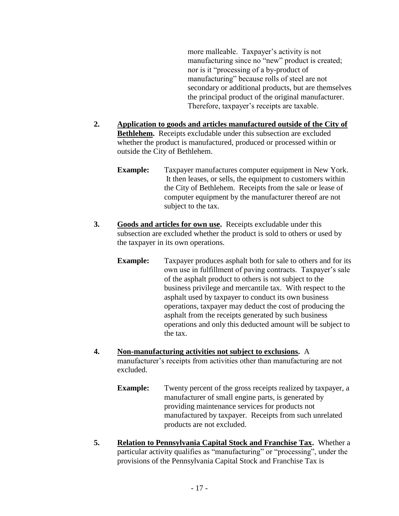more malleable. Taxpayer's activity is not manufacturing since no "new" product is created; nor is it "processing of a by-product of manufacturing" because rolls of steel are not secondary or additional products, but are themselves the principal product of the original manufacturer. Therefore, taxpayer's receipts are taxable.

- **2. Application to goods and articles manufactured outside of the City of Bethlehem.** Receipts excludable under this subsection are excluded whether the product is manufactured, produced or processed within or outside the City of Bethlehem.
	- **Example:** Taxpayer manufactures computer equipment in New York. It then leases, or sells, the equipment to customers within the City of Bethlehem. Receipts from the sale or lease of computer equipment by the manufacturer thereof are not subject to the tax.
- **3. Goods and articles for own use.** Receipts excludable under this subsection are excluded whether the product is sold to others or used by the taxpayer in its own operations.
	- **Example:** Taxpayer produces asphalt both for sale to others and for its own use in fulfillment of paving contracts. Taxpayer's sale of the asphalt product to others is not subject to the business privilege and mercantile tax. With respect to the asphalt used by taxpayer to conduct its own business operations, taxpayer may deduct the cost of producing the asphalt from the receipts generated by such business operations and only this deducted amount will be subject to the tax.
- **4. Non-manufacturing activities not subject to exclusions.** A manufacturer's receipts from activities other than manufacturing are not excluded.
	- **Example:** Twenty percent of the gross receipts realized by taxpayer, a manufacturer of small engine parts, is generated by providing maintenance services for products not manufactured by taxpayer. Receipts from such unrelated products are not excluded.
- **5. Relation to Pennsylvania Capital Stock and Franchise Tax.** Whether a particular activity qualifies as "manufacturing" or "processing", under the provisions of the Pennsylvania Capital Stock and Franchise Tax is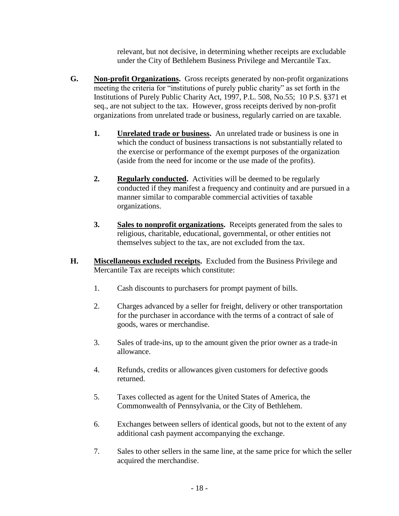relevant, but not decisive, in determining whether receipts are excludable under the City of Bethlehem Business Privilege and Mercantile Tax.

- **G. Non-profit Organizations.** Gross receipts generated by non-profit organizations meeting the criteria for "institutions of purely public charity" as set forth in the Institutions of Purely Public Charity Act, 1997, P.L. 508, No.55; 10 P.S. §371 et seq., are not subject to the tax. However, gross receipts derived by non-profit organizations from unrelated trade or business, regularly carried on are taxable.
	- **1. Unrelated trade or business.** An unrelated trade or business is one in which the conduct of business transactions is not substantially related to the exercise or performance of the exempt purposes of the organization (aside from the need for income or the use made of the profits).
	- **2. Regularly conducted.** Activities will be deemed to be regularly conducted if they manifest a frequency and continuity and are pursued in a manner similar to comparable commercial activities of taxable organizations.
	- **3. Sales to nonprofit organizations.** Receipts generated from the sales to religious, charitable, educational, governmental, or other entities not themselves subject to the tax, are not excluded from the tax.
- **H. Miscellaneous excluded receipts.** Excluded from the Business Privilege and Mercantile Tax are receipts which constitute:
	- 1. Cash discounts to purchasers for prompt payment of bills.
	- 2. Charges advanced by a seller for freight, delivery or other transportation for the purchaser in accordance with the terms of a contract of sale of goods, wares or merchandise.
	- 3. Sales of trade-ins, up to the amount given the prior owner as a trade-in allowance.
	- 4. Refunds, credits or allowances given customers for defective goods returned.
	- 5. Taxes collected as agent for the United States of America, the Commonwealth of Pennsylvania, or the City of Bethlehem.
	- 6. Exchanges between sellers of identical goods, but not to the extent of any additional cash payment accompanying the exchange.
	- 7. Sales to other sellers in the same line, at the same price for which the seller acquired the merchandise.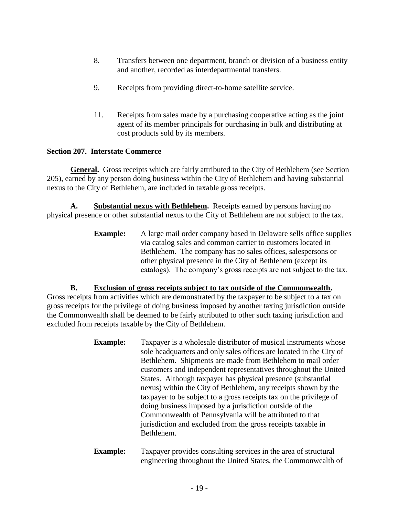- 8. Transfers between one department, branch or division of a business entity and another, recorded as interdepartmental transfers.
- 9. Receipts from providing direct-to-home satellite service.
- 11. Receipts from sales made by a purchasing cooperative acting as the joint agent of its member principals for purchasing in bulk and distributing at cost products sold by its members.

# **Section 207. Interstate Commerce**

**General.** Gross receipts which are fairly attributed to the City of Bethlehem (see Section 205), earned by any person doing business within the City of Bethlehem and having substantial nexus to the City of Bethlehem, are included in taxable gross receipts.

**A. Substantial nexus with Bethlehem.** Receipts earned by persons having no physical presence or other substantial nexus to the City of Bethlehem are not subject to the tax.

> **Example:** A large mail order company based in Delaware sells office supplies via catalog sales and common carrier to customers located in Bethlehem. The company has no sales offices, salespersons or other physical presence in the City of Bethlehem (except its catalogs). The company's gross receipts are not subject to the tax.

**B. Exclusion of gross receipts subject to tax outside of the Commonwealth.** 

Gross receipts from activities which are demonstrated by the taxpayer to be subject to a tax on gross receipts for the privilege of doing business imposed by another taxing jurisdiction outside the Commonwealth shall be deemed to be fairly attributed to other such taxing jurisdiction and excluded from receipts taxable by the City of Bethlehem.

- **Example:** Taxpayer is a wholesale distributor of musical instruments whose sole headquarters and only sales offices are located in the City of Bethlehem. Shipments are made from Bethlehem to mail order customers and independent representatives throughout the United States. Although taxpayer has physical presence (substantial nexus) within the City of Bethlehem, any receipts shown by the taxpayer to be subject to a gross receipts tax on the privilege of doing business imposed by a jurisdiction outside of the Commonwealth of Pennsylvania will be attributed to that jurisdiction and excluded from the gross receipts taxable in Bethlehem.
- **Example:** Taxpayer provides consulting services in the area of structural engineering throughout the United States, the Commonwealth of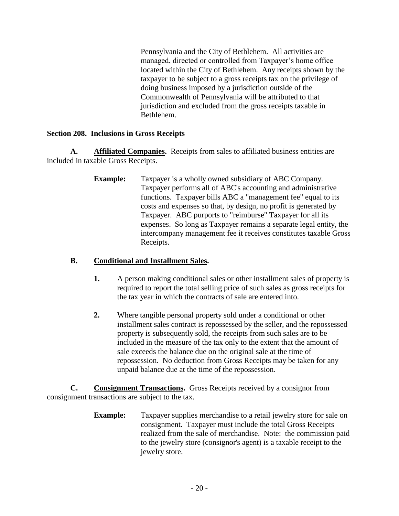Pennsylvania and the City of Bethlehem. All activities are managed, directed or controlled from Taxpayer's home office located within the City of Bethlehem. Any receipts shown by the taxpayer to be subject to a gross receipts tax on the privilege of doing business imposed by a jurisdiction outside of the Commonwealth of Pennsylvania will be attributed to that jurisdiction and excluded from the gross receipts taxable in Bethlehem.

# **Section 208. Inclusions in Gross Receipts**

**A. Affiliated Companies.** Receipts from sales to affiliated business entities are included in taxable Gross Receipts.

> **Example:** Taxpayer is a wholly owned subsidiary of ABC Company. Taxpayer performs all of ABC's accounting and administrative functions. Taxpayer bills ABC a "management fee" equal to its costs and expenses so that, by design, no profit is generated by Taxpayer. ABC purports to "reimburse" Taxpayer for all its expenses. So long as Taxpayer remains a separate legal entity, the intercompany management fee it receives constitutes taxable Gross Receipts.

# **B. Conditional and Installment Sales.**

- **1.** A person making conditional sales or other installment sales of property is required to report the total selling price of such sales as gross receipts for the tax year in which the contracts of sale are entered into.
- **2.** Where tangible personal property sold under a conditional or other installment sales contract is repossessed by the seller, and the repossessed property is subsequently sold, the receipts from such sales are to be included in the measure of the tax only to the extent that the amount of sale exceeds the balance due on the original sale at the time of repossession. No deduction from Gross Receipts may be taken for any unpaid balance due at the time of the repossession.

**C. Consignment Transactions.** Gross Receipts received by a consignor from consignment transactions are subject to the tax.

> **Example:** Taxpayer supplies merchandise to a retail jewelry store for sale on consignment. Taxpayer must include the total Gross Receipts realized from the sale of merchandise. Note: the commission paid to the jewelry store (consignor's agent) is a taxable receipt to the jewelry store.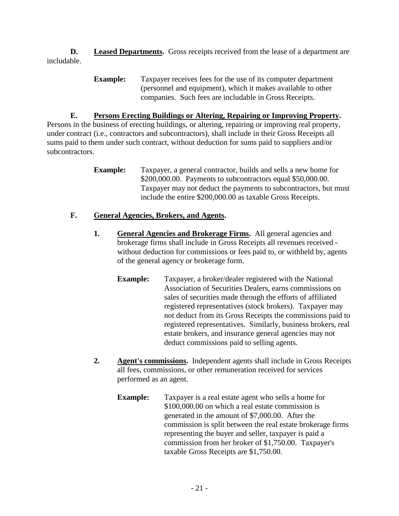**D. Leased Departments.** Gross receipts received from the lease of a department are includable.

> **Example:** Taxpayer receives fees for the use of its computer department (personnel and equipment), which it makes available to other companies. Such fees are includable in Gross Receipts.

# **E. Persons Erecting Buildings or Altering, Repairing or Improving Property.**

Persons in the business of erecting buildings, or altering, repairing or improving real property, under contract (i.e., contractors and subcontractors), shall include in their Gross Receipts all sums paid to them under such contract, without deduction for sums paid to suppliers and/or subcontractors.

> **Example:** Taxpayer, a general contractor, builds and sells a new home for \$200,000.00. Payments to subcontractors equal \$50,000.00. Taxpayer may not deduct the payments to subcontractors, but must include the entire \$200,000.00 as taxable Gross Receipts.

# **F. General Agencies, Brokers, and Agents.**

- **1. General Agencies and Brokerage Firms.** All general agencies and brokerage firms shall include in Gross Receipts all revenues received without deduction for commissions or fees paid to, or withheld by, agents of the general agency or brokerage form.
	- **Example:** Taxpayer, a broker/dealer registered with the National Association of Securities Dealers, earns commissions on sales of securities made through the efforts of affiliated registered representatives (stock brokers). Taxpayer may not deduct from its Gross Receipts the commissions paid to registered representatives. Similarly, business brokers, real estate brokers, and insurance general agencies may not deduct commissions paid to selling agents.
- **2. Agent's commissions.** Independent agents shall include in Gross Receipts all fees, commissions, or other remuneration received for services performed as an agent.
	- **Example:** Taxpayer is a real estate agent who sells a home for \$100,000.00 on which a real estate commission is generated in the amount of \$7,000.00. After the commission is split between the real estate brokerage firms representing the buyer and seller, taxpayer is paid a commission from her broker of \$1,750.00. Taxpayer's taxable Gross Receipts are \$1,750.00.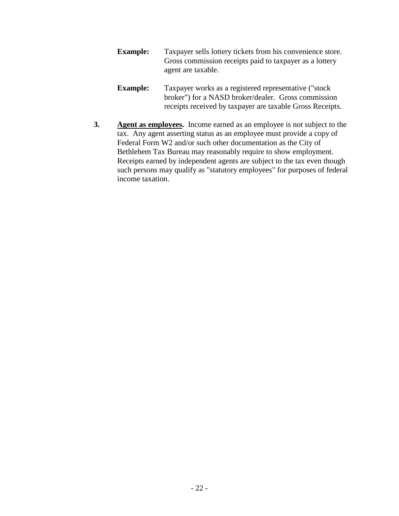- **Example:** Taxpayer sells lottery tickets from his convenience store. Gross commission receipts paid to taxpayer as a lottery agent are taxable.
- **Example:** Taxpayer works as a registered representative ("stock broker") for a NASD broker/dealer. Gross commission receipts received by taxpayer are taxable Gross Receipts.
- **3. Agent as employees.** Income earned as an employee is not subject to the tax. Any agent asserting status as an employee must provide a copy of Federal Form W2 and/or such other documentation as the City of Bethlehem Tax Bureau may reasonably require to show employment. Receipts earned by independent agents are subject to the tax even though such persons may qualify as "statutory employees" for purposes of federal income taxation.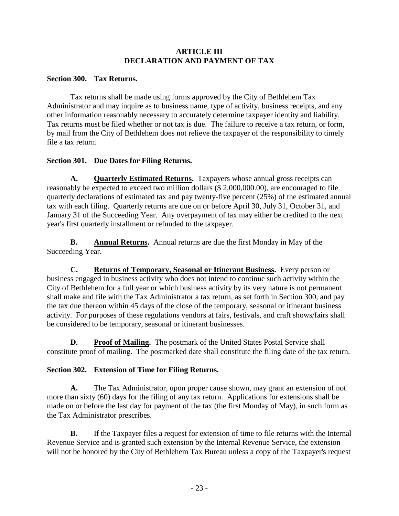# **ARTICLE III DECLARATION AND PAYMENT OF TAX**

# **Section 300. Tax Returns.**

Tax returns shall be made using forms approved by the City of Bethlehem Tax Administrator and may inquire as to business name, type of activity, business receipts, and any other information reasonably necessary to accurately determine taxpayer identity and liability. Tax returns must be filed whether or not tax is due. The failure to receive a tax return, or form, by mail from the City of Bethlehem does not relieve the taxpayer of the responsibility to timely file a tax return.

# **Section 301. Due Dates for Filing Returns.**

A. **Quarterly Estimated Returns.** Taxpayers whose annual gross receipts can reasonably be expected to exceed two million dollars (\$ 2,000,000.00), are encouraged to file quarterly declarations of estimated tax and pay twenty-five percent (25%) of the estimated annual tax with each filing. Quarterly returns are due on or before April 30, July 31, October 31, and January 31 of the Succeeding Year. Any overpayment of tax may either be credited to the next year's first quarterly installment or refunded to the taxpayer.

**B. Annual Returns.** Annual returns are due the first Monday in May of the Succeeding Year.

**C. Returns of Temporary, Seasonal or Itinerant Business.** Every person or business engaged in business activity who does not intend to continue such activity within the City of Bethlehem for a full year or which business activity by its very nature is not permanent shall make and file with the Tax Administrator a tax return, as set forth in Section 300, and pay the tax due thereon within 45 days of the close of the temporary, seasonal or itinerant business activity. For purposes of these regulations vendors at fairs, festivals, and craft shows/fairs shall be considered to be temporary, seasonal or itinerant businesses.

**D.** Proof of Mailing. The postmark of the United States Postal Service shall constitute proof of mailing. The postmarked date shall constitute the filing date of the tax return.

# **Section 302. Extension of Time for Filing Returns.**

**A.** The Tax Administrator, upon proper cause shown, may grant an extension of not more than sixty (60) days for the filing of any tax return. Applications for extensions shall be made on or before the last day for payment of the tax (the first Monday of May), in such form as the Tax Administrator prescribes.

**B.** If the Taxpayer files a request for extension of time to file returns with the Internal Revenue Service and is granted such extension by the Internal Revenue Service, the extension will not be honored by the City of Bethlehem Tax Bureau unless a copy of the Taxpayer's request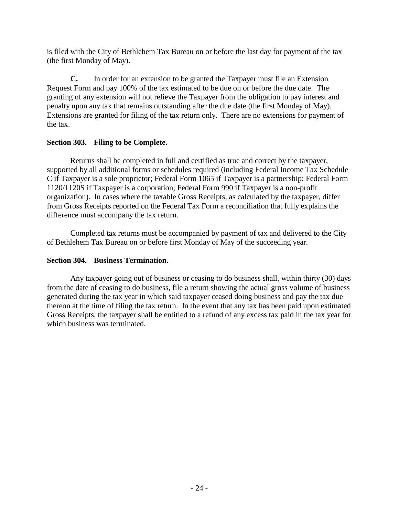is filed with the City of Bethlehem Tax Bureau on or before the last day for payment of the tax (the first Monday of May).

**C.** In order for an extension to be granted the Taxpayer must file an Extension Request Form and pay 100% of the tax estimated to be due on or before the due date. The granting of any extension will not relieve the Taxpayer from the obligation to pay interest and penalty upon any tax that remains outstanding after the due date (the first Monday of May). Extensions are granted for filing of the tax return only. There are no extensions for payment of the tax.

# **Section 303. Filing to be Complete.**

Returns shall be completed in full and certified as true and correct by the taxpayer, supported by all additional forms or schedules required (including Federal Income Tax Schedule C if Taxpayer is a sole proprietor; Federal Form 1065 if Taxpayer is a partnership; Federal Form 1120/1120S if Taxpayer is a corporation; Federal Form 990 if Taxpayer is a non-profit organization). In cases where the taxable Gross Receipts, as calculated by the taxpayer, differ from Gross Receipts reported on the Federal Tax Form a reconciliation that fully explains the difference must accompany the tax return.

Completed tax returns must be accompanied by payment of tax and delivered to the City of Bethlehem Tax Bureau on or before first Monday of May of the succeeding year.

# **Section 304. Business Termination.**

Any taxpayer going out of business or ceasing to do business shall, within thirty (30) days from the date of ceasing to do business, file a return showing the actual gross volume of business generated during the tax year in which said taxpayer ceased doing business and pay the tax due thereon at the time of filing the tax return. In the event that any tax has been paid upon estimated Gross Receipts, the taxpayer shall be entitled to a refund of any excess tax paid in the tax year for which business was terminated.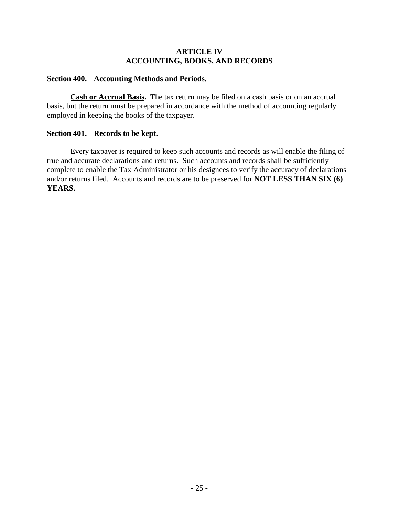# **ARTICLE IV ACCOUNTING, BOOKS, AND RECORDS**

### **Section 400. Accounting Methods and Periods.**

**Cash or Accrual Basis.** The tax return may be filed on a cash basis or on an accrual basis, but the return must be prepared in accordance with the method of accounting regularly employed in keeping the books of the taxpayer.

#### **Section 401. Records to be kept.**

Every taxpayer is required to keep such accounts and records as will enable the filing of true and accurate declarations and returns. Such accounts and records shall be sufficiently complete to enable the Tax Administrator or his designees to verify the accuracy of declarations and/or returns filed. Accounts and records are to be preserved for **NOT LESS THAN SIX (6) YEARS.**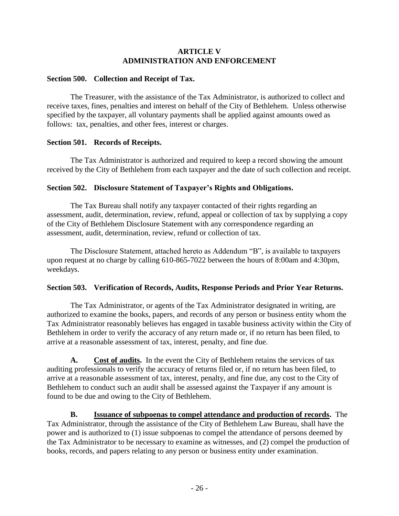# **ARTICLE V ADMINISTRATION AND ENFORCEMENT**

# **Section 500. Collection and Receipt of Tax.**

The Treasurer, with the assistance of the Tax Administrator, is authorized to collect and receive taxes, fines, penalties and interest on behalf of the City of Bethlehem. Unless otherwise specified by the taxpayer, all voluntary payments shall be applied against amounts owed as follows: tax, penalties, and other fees, interest or charges.

## **Section 501. Records of Receipts.**

The Tax Administrator is authorized and required to keep a record showing the amount received by the City of Bethlehem from each taxpayer and the date of such collection and receipt.

# **Section 502. Disclosure Statement of Taxpayer's Rights and Obligations.**

The Tax Bureau shall notify any taxpayer contacted of their rights regarding an assessment, audit, determination, review, refund, appeal or collection of tax by supplying a copy of the City of Bethlehem Disclosure Statement with any correspondence regarding an assessment, audit, determination, review, refund or collection of tax.

The Disclosure Statement, attached hereto as Addendum "B", is available to taxpayers upon request at no charge by calling 610-865-7022 between the hours of 8:00am and 4:30pm, weekdays.

# **Section 503. Verification of Records, Audits, Response Periods and Prior Year Returns.**

The Tax Administrator, or agents of the Tax Administrator designated in writing, are authorized to examine the books, papers, and records of any person or business entity whom the Tax Administrator reasonably believes has engaged in taxable business activity within the City of Bethlehem in order to verify the accuracy of any return made or, if no return has been filed, to arrive at a reasonable assessment of tax, interest, penalty, and fine due.

**A. Cost of audits.** In the event the City of Bethlehem retains the services of tax auditing professionals to verify the accuracy of returns filed or, if no return has been filed, to arrive at a reasonable assessment of tax, interest, penalty, and fine due, any cost to the City of Bethlehem to conduct such an audit shall be assessed against the Taxpayer if any amount is found to be due and owing to the City of Bethlehem.

**B. Issuance of subpoenas to compel attendance and production of records.** The Tax Administrator, through the assistance of the City of Bethlehem Law Bureau, shall have the power and is authorized to (1) issue subpoenas to compel the attendance of persons deemed by the Tax Administrator to be necessary to examine as witnesses, and (2) compel the production of books, records, and papers relating to any person or business entity under examination.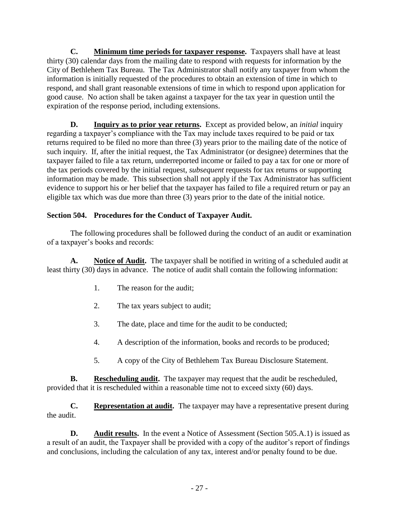**C. Minimum time periods for taxpayer response.** Taxpayers shall have at least thirty (30) calendar days from the mailing date to respond with requests for information by the City of Bethlehem Tax Bureau. The Tax Administrator shall notify any taxpayer from whom the information is initially requested of the procedures to obtain an extension of time in which to respond, and shall grant reasonable extensions of time in which to respond upon application for good cause. No action shall be taken against a taxpayer for the tax year in question until the expiration of the response period, including extensions.

**D.** Inquiry as to prior year returns. Except as provided below, an *initial* inquiry regarding a taxpayer's compliance with the Tax may include taxes required to be paid or tax returns required to be filed no more than three (3) years prior to the mailing date of the notice of such inquiry. If, after the initial request, the Tax Administrator (or designee) determines that the taxpayer failed to file a tax return, underreported income or failed to pay a tax for one or more of the tax periods covered by the initial request, *subsequent* requests for tax returns or supporting information may be made. This subsection shall not apply if the Tax Administrator has sufficient evidence to support his or her belief that the taxpayer has failed to file a required return or pay an eligible tax which was due more than three (3) years prior to the date of the initial notice.

# **Section 504. Procedures for the Conduct of Taxpayer Audit.**

The following procedures shall be followed during the conduct of an audit or examination of a taxpayer's books and records:

**A. Notice of Audit.** The taxpayer shall be notified in writing of a scheduled audit at least thirty (30) days in advance. The notice of audit shall contain the following information:

- 1. The reason for the audit;
- 2. The tax years subject to audit;
- 3. The date, place and time for the audit to be conducted;
- 4. A description of the information, books and records to be produced;
- 5. A copy of the City of Bethlehem Tax Bureau Disclosure Statement.

**B. Rescheduling audit.** The taxpayer may request that the audit be rescheduled, provided that it is rescheduled within a reasonable time not to exceed sixty (60) days.

**C. Representation at audit.** The taxpayer may have a representative present during the audit.

**D.** Audit results. In the event a Notice of Assessment (Section 505.A.1) is issued as a result of an audit, the Taxpayer shall be provided with a copy of the auditor's report of findings and conclusions, including the calculation of any tax, interest and/or penalty found to be due.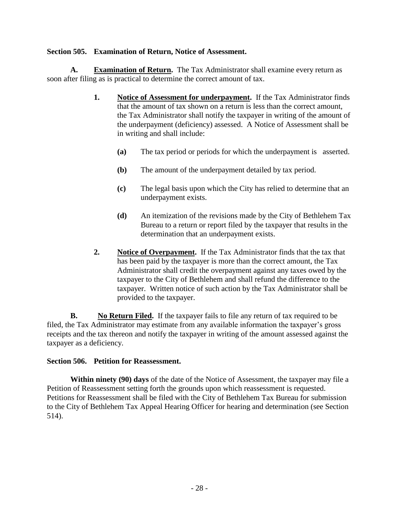# **Section 505. Examination of Return, Notice of Assessment.**

**A. Examination of Return.** The Tax Administrator shall examine every return as soon after filing as is practical to determine the correct amount of tax.

- **1. Notice of Assessment for underpayment.** If the Tax Administrator finds that the amount of tax shown on a return is less than the correct amount, the Tax Administrator shall notify the taxpayer in writing of the amount of the underpayment (deficiency) assessed. A Notice of Assessment shall be in writing and shall include:
	- **(a)** The tax period or periods for which the underpayment is asserted.
	- **(b)** The amount of the underpayment detailed by tax period.
	- **(c)** The legal basis upon which the City has relied to determine that an underpayment exists.
	- **(d)** An itemization of the revisions made by the City of Bethlehem Tax Bureau to a return or report filed by the taxpayer that results in the determination that an underpayment exists.
- **2. Notice of Overpayment.** If the Tax Administrator finds that the tax that has been paid by the taxpayer is more than the correct amount, the Tax Administrator shall credit the overpayment against any taxes owed by the taxpayer to the City of Bethlehem and shall refund the difference to the taxpayer. Written notice of such action by the Tax Administrator shall be provided to the taxpayer.

**B. No Return Filed.** If the taxpayer fails to file any return of tax required to be filed, the Tax Administrator may estimate from any available information the taxpayer's gross receipts and the tax thereon and notify the taxpayer in writing of the amount assessed against the taxpayer as a deficiency.

### **Section 506. Petition for Reassessment.**

**Within ninety (90) days** of the date of the Notice of Assessment, the taxpayer may file a Petition of Reassessment setting forth the grounds upon which reassessment is requested. Petitions for Reassessment shall be filed with the City of Bethlehem Tax Bureau for submission to the City of Bethlehem Tax Appeal Hearing Officer for hearing and determination (see Section 514).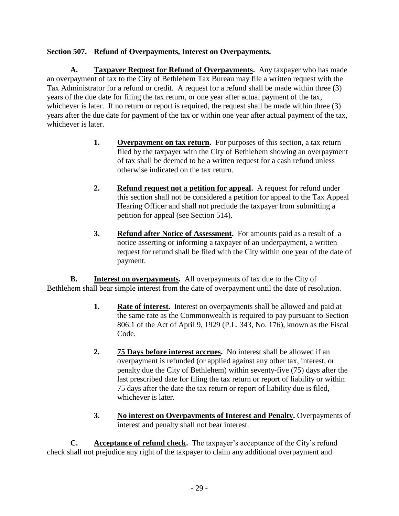# **Section 507. Refund of Overpayments, Interest on Overpayments.**

**A. Taxpayer Request for Refund of Overpayments.** Any taxpayer who has made an overpayment of tax to the City of Bethlehem Tax Bureau may file a written request with the Tax Administrator for a refund or credit. A request for a refund shall be made within three (3) years of the due date for filing the tax return, or one year after actual payment of the tax, whichever is later. If no return or report is required, the request shall be made within three (3) years after the due date for payment of the tax or within one year after actual payment of the tax, whichever is later.

- **1. Overpayment on tax return.** For purposes of this section, a tax return filed by the taxpayer with the City of Bethlehem showing an overpayment of tax shall be deemed to be a written request for a cash refund unless otherwise indicated on the tax return.
- **2. Refund request not a petition for appeal.** A request for refund under this section shall not be considered a petition for appeal to the Tax Appeal Hearing Officer and shall not preclude the taxpayer from submitting a petition for appeal (see Section 514).
- **3. Refund after Notice of Assessment.** For amounts paid as a result of a notice asserting or informing a taxpayer of an underpayment, a written request for refund shall be filed with the City within one year of the date of payment.

**B. Interest on overpayments.** All overpayments of tax due to the City of Bethlehem shall bear simple interest from the date of overpayment until the date of resolution.

- **1. Rate of interest.** Interest on overpayments shall be allowed and paid at the same rate as the Commonwealth is required to pay pursuant to Section 806.1 of the Act of April 9, 1929 (P.L. 343, No. 176), known as the Fiscal Code.
- **2. 75 Days before interest accrues.** No interest shall be allowed if an overpayment is refunded (or applied against any other tax, interest, or penalty due the City of Bethlehem) within seventy-five (75) days after the last prescribed date for filing the tax return or report of liability or within 75 days after the date the tax return or report of liability due is filed, whichever is later.
- **3. No interest on Overpayments of Interest and Penalty.** Overpayments of interest and penalty shall not bear interest.

**C.** Acceptance of refund check. The taxpayer's acceptance of the City's refund check shall not prejudice any right of the taxpayer to claim any additional overpayment and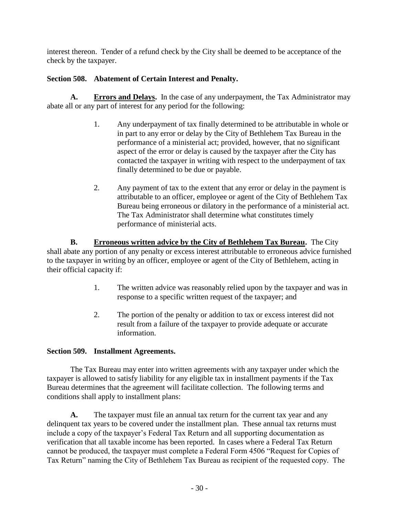interest thereon. Tender of a refund check by the City shall be deemed to be acceptance of the check by the taxpayer.

# **Section 508. Abatement of Certain Interest and Penalty.**

**A. Errors and Delays.** In the case of any underpayment, the Tax Administrator may abate all or any part of interest for any period for the following:

- 1. Any underpayment of tax finally determined to be attributable in whole or in part to any error or delay by the City of Bethlehem Tax Bureau in the performance of a ministerial act; provided, however, that no significant aspect of the error or delay is caused by the taxpayer after the City has contacted the taxpayer in writing with respect to the underpayment of tax finally determined to be due or payable.
- 2. Any payment of tax to the extent that any error or delay in the payment is attributable to an officer, employee or agent of the City of Bethlehem Tax Bureau being erroneous or dilatory in the performance of a ministerial act. The Tax Administrator shall determine what constitutes timely performance of ministerial acts.

**B. Erroneous written advice by the City of Bethlehem Tax Bureau.** The City shall abate any portion of any penalty or excess interest attributable to erroneous advice furnished to the taxpayer in writing by an officer, employee or agent of the City of Bethlehem, acting in their official capacity if:

- 1. The written advice was reasonably relied upon by the taxpayer and was in response to a specific written request of the taxpayer; and
- 2. The portion of the penalty or addition to tax or excess interest did not result from a failure of the taxpayer to provide adequate or accurate information.

# **Section 509. Installment Agreements.**

The Tax Bureau may enter into written agreements with any taxpayer under which the taxpayer is allowed to satisfy liability for any eligible tax in installment payments if the Tax Bureau determines that the agreement will facilitate collection. The following terms and conditions shall apply to installment plans:

**A.** The taxpayer must file an annual tax return for the current tax year and any delinquent tax years to be covered under the installment plan. These annual tax returns must include a copy of the taxpayer's Federal Tax Return and all supporting documentation as verification that all taxable income has been reported. In cases where a Federal Tax Return cannot be produced, the taxpayer must complete a Federal Form 4506 "Request for Copies of Tax Return" naming the City of Bethlehem Tax Bureau as recipient of the requested copy. The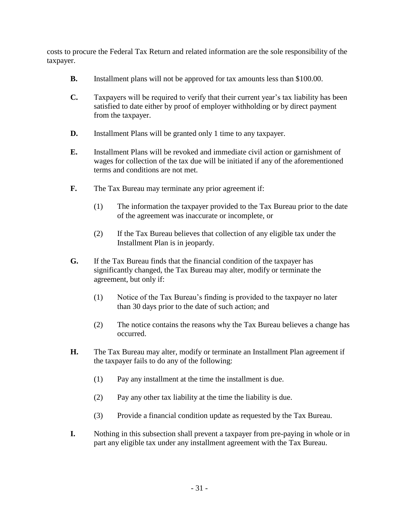costs to procure the Federal Tax Return and related information are the sole responsibility of the taxpayer.

- **B.** Installment plans will not be approved for tax amounts less than \$100.00.
- **C.** Taxpayers will be required to verify that their current year's tax liability has been satisfied to date either by proof of employer withholding or by direct payment from the taxpayer.
- **D.** Installment Plans will be granted only 1 time to any taxpayer.
- **E.** Installment Plans will be revoked and immediate civil action or garnishment of wages for collection of the tax due will be initiated if any of the aforementioned terms and conditions are not met.
- **F.** The Tax Bureau may terminate any prior agreement if:
	- (1) The information the taxpayer provided to the Tax Bureau prior to the date of the agreement was inaccurate or incomplete, or
	- (2) If the Tax Bureau believes that collection of any eligible tax under the Installment Plan is in jeopardy.
- **G.** If the Tax Bureau finds that the financial condition of the taxpayer has significantly changed, the Tax Bureau may alter, modify or terminate the agreement, but only if:
	- (1) Notice of the Tax Bureau's finding is provided to the taxpayer no later than 30 days prior to the date of such action; and
	- (2) The notice contains the reasons why the Tax Bureau believes a change has occurred.
- **H.** The Tax Bureau may alter, modify or terminate an Installment Plan agreement if the taxpayer fails to do any of the following:
	- (1) Pay any installment at the time the installment is due.
	- (2) Pay any other tax liability at the time the liability is due.
	- (3) Provide a financial condition update as requested by the Tax Bureau.
- **I.** Nothing in this subsection shall prevent a taxpayer from pre-paying in whole or in part any eligible tax under any installment agreement with the Tax Bureau.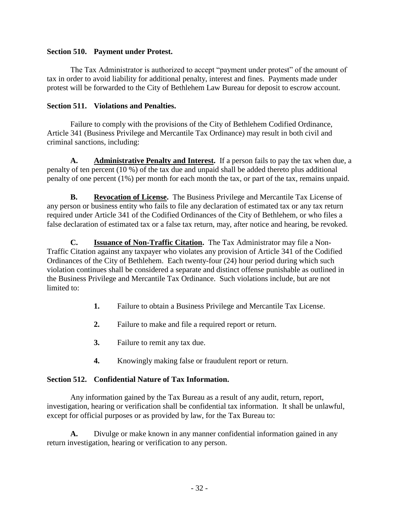# **Section 510. Payment under Protest.**

The Tax Administrator is authorized to accept "payment under protest" of the amount of tax in order to avoid liability for additional penalty, interest and fines. Payments made under protest will be forwarded to the City of Bethlehem Law Bureau for deposit to escrow account.

# **Section 511. Violations and Penalties.**

Failure to comply with the provisions of the City of Bethlehem Codified Ordinance, Article 341 (Business Privilege and Mercantile Tax Ordinance) may result in both civil and criminal sanctions, including:

**A. Administrative Penalty and Interest.** If a person fails to pay the tax when due, a penalty of ten percent (10 %) of the tax due and unpaid shall be added thereto plus additional penalty of one percent (1%) per month for each month the tax, or part of the tax, remains unpaid.

**B. Revocation of License.** The Business Privilege and Mercantile Tax License of any person or business entity who fails to file any declaration of estimated tax or any tax return required under Article 341 of the Codified Ordinances of the City of Bethlehem, or who files a false declaration of estimated tax or a false tax return, may, after notice and hearing, be revoked.

**C. Issuance of Non-Traffic Citation.** The Tax Administrator may file a Non-Traffic Citation against any taxpayer who violates any provision of Article 341 of the Codified Ordinances of the City of Bethlehem. Each twenty-four (24) hour period during which such violation continues shall be considered a separate and distinct offense punishable as outlined in the Business Privilege and Mercantile Tax Ordinance. Such violations include, but are not limited to:

- **1.** Failure to obtain a Business Privilege and Mercantile Tax License.
- **2.** Failure to make and file a required report or return.
- **3.** Failure to remit any tax due.
- **4.** Knowingly making false or fraudulent report or return.

# **Section 512. Confidential Nature of Tax Information.**

Any information gained by the Tax Bureau as a result of any audit, return, report, investigation, hearing or verification shall be confidential tax information. It shall be unlawful, except for official purposes or as provided by law, for the Tax Bureau to:

**A.** Divulge or make known in any manner confidential information gained in any return investigation, hearing or verification to any person.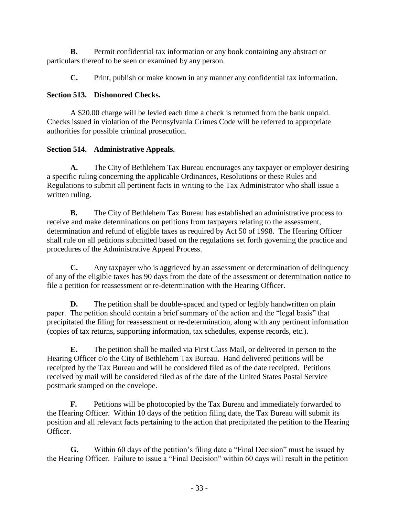**B.** Permit confidential tax information or any book containing any abstract or particulars thereof to be seen or examined by any person.

**C.** Print, publish or make known in any manner any confidential tax information.

# **Section 513. Dishonored Checks.**

A \$20.00 charge will be levied each time a check is returned from the bank unpaid. Checks issued in violation of the Pennsylvania Crimes Code will be referred to appropriate authorities for possible criminal prosecution.

# **Section 514. Administrative Appeals.**

**A.** The City of Bethlehem Tax Bureau encourages any taxpayer or employer desiring a specific ruling concerning the applicable Ordinances, Resolutions or these Rules and Regulations to submit all pertinent facts in writing to the Tax Administrator who shall issue a written ruling.

**B.** The City of Bethlehem Tax Bureau has established an administrative process to receive and make determinations on petitions from taxpayers relating to the assessment, determination and refund of eligible taxes as required by Act 50 of 1998. The Hearing Officer shall rule on all petitions submitted based on the regulations set forth governing the practice and procedures of the Administrative Appeal Process.

**C.** Any taxpayer who is aggrieved by an assessment or determination of delinquency of any of the eligible taxes has 90 days from the date of the assessment or determination notice to file a petition for reassessment or re-determination with the Hearing Officer.

**D.** The petition shall be double-spaced and typed or legibly handwritten on plain paper. The petition should contain a brief summary of the action and the "legal basis" that precipitated the filing for reassessment or re-determination, along with any pertinent information (copies of tax returns, supporting information, tax schedules, expense records, etc.).

**E.** The petition shall be mailed via First Class Mail, or delivered in person to the Hearing Officer c/o the City of Bethlehem Tax Bureau. Hand delivered petitions will be receipted by the Tax Bureau and will be considered filed as of the date receipted. Petitions received by mail will be considered filed as of the date of the United States Postal Service postmark stamped on the envelope.

**F.** Petitions will be photocopied by the Tax Bureau and immediately forwarded to the Hearing Officer. Within 10 days of the petition filing date, the Tax Bureau will submit its position and all relevant facts pertaining to the action that precipitated the petition to the Hearing Officer.

**G.** Within 60 days of the petition's filing date a "Final Decision" must be issued by the Hearing Officer. Failure to issue a "Final Decision" within 60 days will result in the petition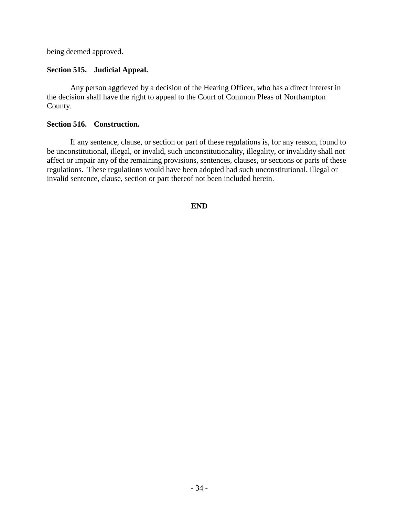being deemed approved.

### **Section 515. Judicial Appeal.**

Any person aggrieved by a decision of the Hearing Officer, who has a direct interest in the decision shall have the right to appeal to the Court of Common Pleas of Northampton County.

### **Section 516. Construction.**

If any sentence, clause, or section or part of these regulations is, for any reason, found to be unconstitutional, illegal, or invalid, such unconstitutionality, illegality, or invalidity shall not affect or impair any of the remaining provisions, sentences, clauses, or sections or parts of these regulations. These regulations would have been adopted had such unconstitutional, illegal or invalid sentence, clause, section or part thereof not been included herein.

### **END**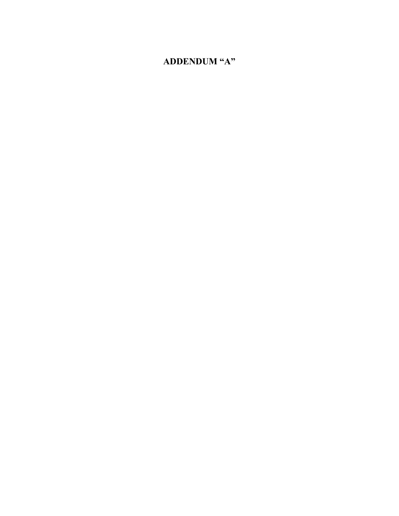# **ADDENDUM "A"**